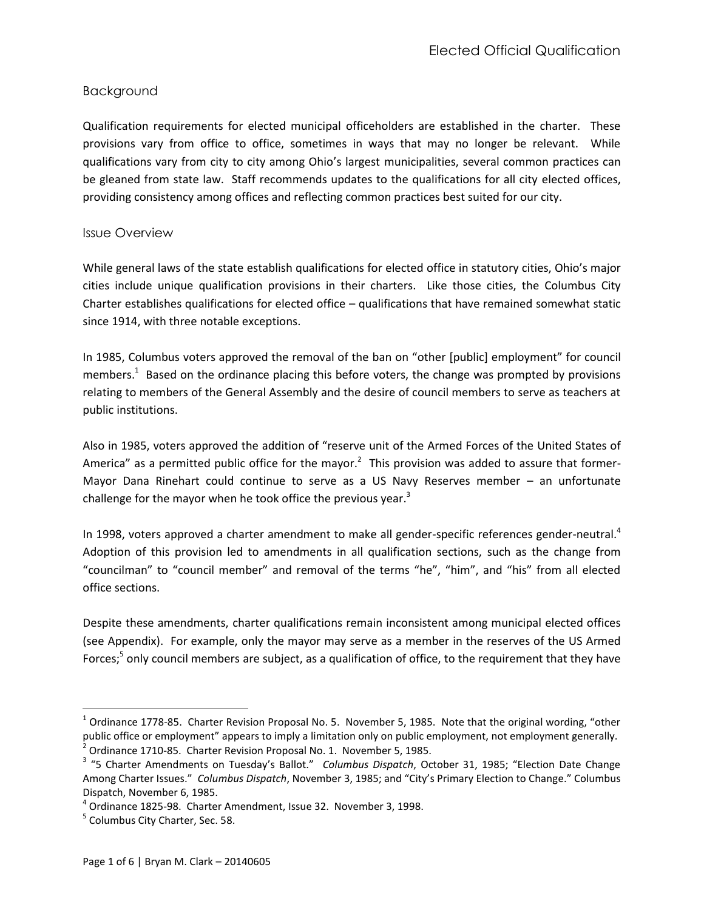## Background

Qualification requirements for elected municipal officeholders are established in the charter. These provisions vary from office to office, sometimes in ways that may no longer be relevant. While qualifications vary from city to city among Ohio's largest municipalities, several common practices can be gleaned from state law. Staff recommends updates to the qualifications for all city elected offices, providing consistency among offices and reflecting common practices best suited for our city.

#### Issue Overview

While general laws of the state establish qualifications for elected office in statutory cities, Ohio's major cities include unique qualification provisions in their charters. Like those cities, the Columbus City Charter establishes qualifications for elected office – qualifications that have remained somewhat static since 1914, with three notable exceptions.

In 1985, Columbus voters approved the removal of the ban on "other [public] employment" for council members.<sup>1</sup> Based on the ordinance placing this before voters, the change was prompted by provisions relating to members of the General Assembly and the desire of council members to serve as teachers at public institutions.

Also in 1985, voters approved the addition of "reserve unit of the Armed Forces of the United States of America" as a permitted public office for the mayor.<sup>2</sup> This provision was added to assure that former-Mayor Dana Rinehart could continue to serve as a US Navy Reserves member – an unfortunate challenge for the mayor when he took office the previous year. $3$ 

In 1998, voters approved a charter amendment to make all gender-specific references gender-neutral.<sup>4</sup> Adoption of this provision led to amendments in all qualification sections, such as the change from "councilman" to "council member" and removal of the terms "he", "him", and "his" from all elected office sections.

Despite these amendments, charter qualifications remain inconsistent among municipal elected offices (see Appendix). For example, only the mayor may serve as a member in the reserves of the US Armed Forces;<sup>5</sup> only council members are subject, as a qualification of office, to the requirement that they have

 $\overline{\phantom{a}}$ 

 $^1$  Ordinance 1778-85. Charter Revision Proposal No. 5. November 5, 1985. Note that the original wording, "other public office or employment" appears to imply a limitation only on public employment, not employment generally.<br><sup>2</sup> Ordinance 1710-85. Charter Revision Proposal No. 1. November 5, 1985.

<sup>3</sup> "5 Charter Amendments on Tuesday's Ballot." *Columbus Dispatch*, October 31, 1985; "Election Date Change Among Charter Issues." *Columbus Dispatch*, November 3, 1985; and "City's Primary Election to Change." Columbus Dispatch, November 6, 1985.

<sup>4</sup> Ordinance 1825-98. Charter Amendment, Issue 32. November 3, 1998.

<sup>&</sup>lt;sup>5</sup> Columbus City Charter, Sec. 58.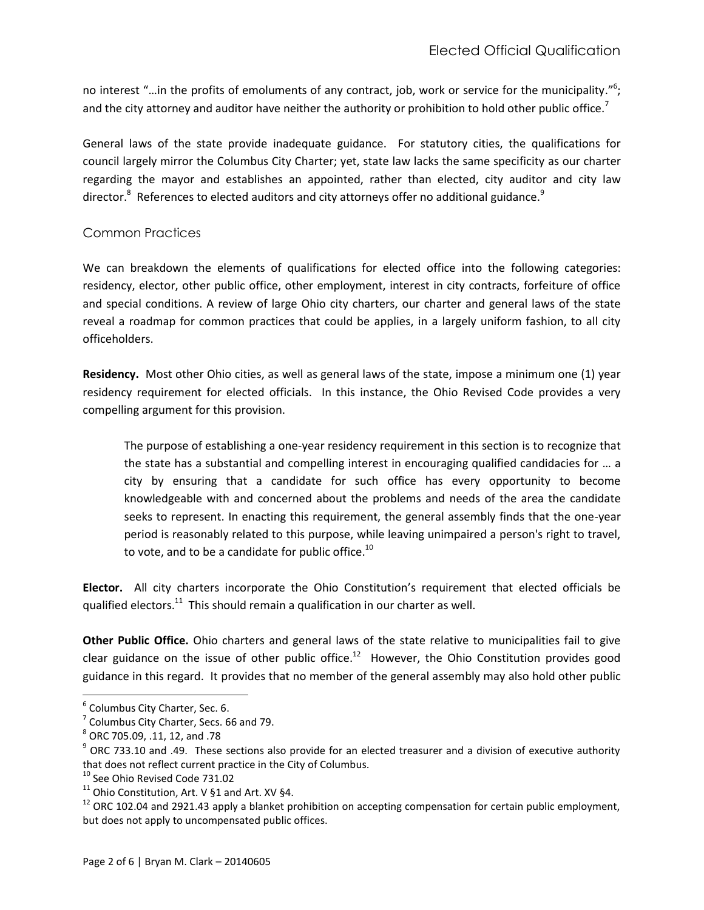no interest "...in the profits of emoluments of any contract, job, work or service for the municipality."<sup>6</sup>; and the city attorney and auditor have neither the authority or prohibition to hold other public office.<sup>7</sup>

General laws of the state provide inadequate guidance. For statutory cities, the qualifications for council largely mirror the Columbus City Charter; yet, state law lacks the same specificity as our charter regarding the mayor and establishes an appointed, rather than elected, city auditor and city law director. $^8$  References to elected auditors and city attorneys offer no additional guidance. $^9$ 

## Common Practices

We can breakdown the elements of qualifications for elected office into the following categories: residency, elector, other public office, other employment, interest in city contracts, forfeiture of office and special conditions. A review of large Ohio city charters, our charter and general laws of the state reveal a roadmap for common practices that could be applies, in a largely uniform fashion, to all city officeholders.

**Residency.** Most other Ohio cities, as well as general laws of the state, impose a minimum one (1) year residency requirement for elected officials. In this instance, the Ohio Revised Code provides a very compelling argument for this provision.

The purpose of establishing a one-year residency requirement in this section is to recognize that the state has a substantial and compelling interest in encouraging qualified candidacies for … a city by ensuring that a candidate for such office has every opportunity to become knowledgeable with and concerned about the problems and needs of the area the candidate seeks to represent. In enacting this requirement, the general assembly finds that the one-year period is reasonably related to this purpose, while leaving unimpaired a person's right to travel, to vote, and to be a candidate for public office. $^{10}$ 

**Elector.** All city charters incorporate the Ohio Constitution's requirement that elected officials be qualified electors. $^{11}$  This should remain a qualification in our charter as well.

**Other Public Office.** Ohio charters and general laws of the state relative to municipalities fail to give clear guidance on the issue of other public office.<sup>12</sup> However, the Ohio Constitution provides good guidance in this regard. It provides that no member of the general assembly may also hold other public

 $\overline{\phantom{a}}$ 

<sup>&</sup>lt;sup>6</sup> Columbus City Charter, Sec. 6.

 $<sup>7</sup>$  Columbus City Charter, Secs. 66 and 79.</sup>

 $^8$  ORC 705.09, .11, 12, and .78

 $9$  ORC 733.10 and .49. These sections also provide for an elected treasurer and a division of executive authority that does not reflect current practice in the City of Columbus.

<sup>&</sup>lt;sup>10</sup> See Ohio Revised Code 731.02

<sup>&</sup>lt;sup>11</sup> Ohio Constitution, Art. V §1 and Art. XV §4.

 $12$  ORC 102.04 and 2921.43 apply a blanket prohibition on accepting compensation for certain public employment, but does not apply to uncompensated public offices.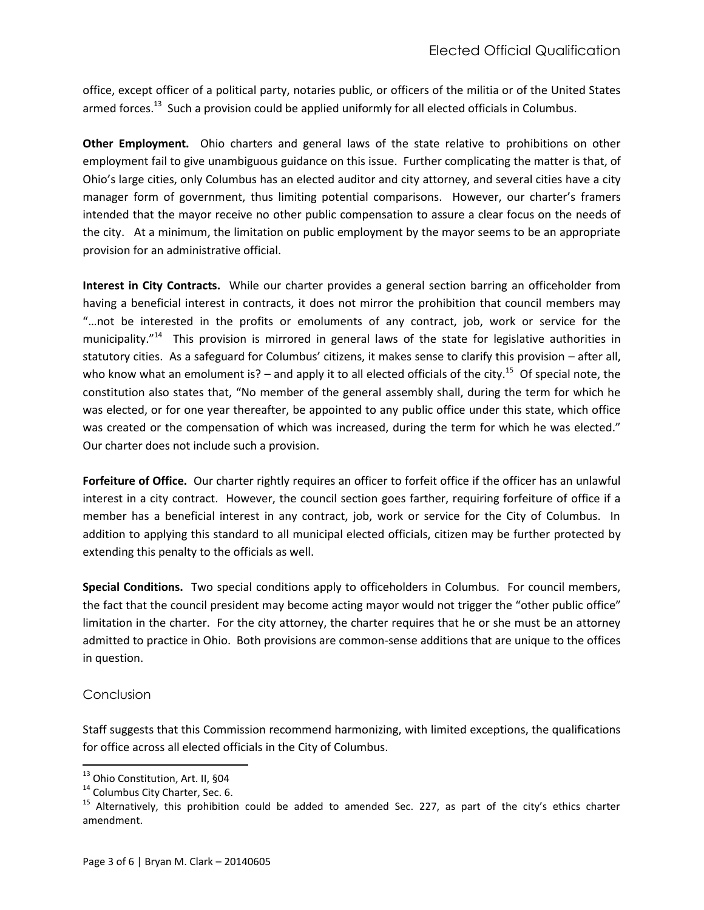office, except officer of a political party, notaries public, or officers of the militia or of the United States armed forces.<sup>13</sup> Such a provision could be applied uniformly for all elected officials in Columbus.

**Other Employment.** Ohio charters and general laws of the state relative to prohibitions on other employment fail to give unambiguous guidance on this issue. Further complicating the matter is that, of Ohio's large cities, only Columbus has an elected auditor and city attorney, and several cities have a city manager form of government, thus limiting potential comparisons. However, our charter's framers intended that the mayor receive no other public compensation to assure a clear focus on the needs of the city. At a minimum, the limitation on public employment by the mayor seems to be an appropriate provision for an administrative official.

**Interest in City Contracts.** While our charter provides a general section barring an officeholder from having a beneficial interest in contracts, it does not mirror the prohibition that council members may "…not be interested in the profits or emoluments of any contract, job, work or service for the municipality."<sup>14</sup> This provision is mirrored in general laws of the state for legislative authorities in statutory cities. As a safeguard for Columbus' citizens, it makes sense to clarify this provision – after all, who know what an emolument is?  $-$  and apply it to all elected officials of the city.<sup>15</sup> Of special note, the constitution also states that, "No member of the general assembly shall, during the term for which he was elected, or for one year thereafter, be appointed to any public office under this state, which office was created or the compensation of which was increased, during the term for which he was elected." Our charter does not include such a provision.

**Forfeiture of Office.** Our charter rightly requires an officer to forfeit office if the officer has an unlawful interest in a city contract. However, the council section goes farther, requiring forfeiture of office if a member has a beneficial interest in any contract, job, work or service for the City of Columbus. In addition to applying this standard to all municipal elected officials, citizen may be further protected by extending this penalty to the officials as well.

**Special Conditions.** Two special conditions apply to officeholders in Columbus. For council members, the fact that the council president may become acting mayor would not trigger the "other public office" limitation in the charter. For the city attorney, the charter requires that he or she must be an attorney admitted to practice in Ohio. Both provisions are common-sense additions that are unique to the offices in question.

#### Conclusion

 $\overline{a}$ 

Staff suggests that this Commission recommend harmonizing, with limited exceptions, the qualifications for office across all elected officials in the City of Columbus.

<sup>&</sup>lt;sup>13</sup> Ohio Constitution, Art. II, §04

<sup>&</sup>lt;sup>14</sup> Columbus City Charter, Sec. 6.

<sup>&</sup>lt;sup>15</sup> Alternatively, this prohibition could be added to amended Sec. 227, as part of the city's ethics charter amendment.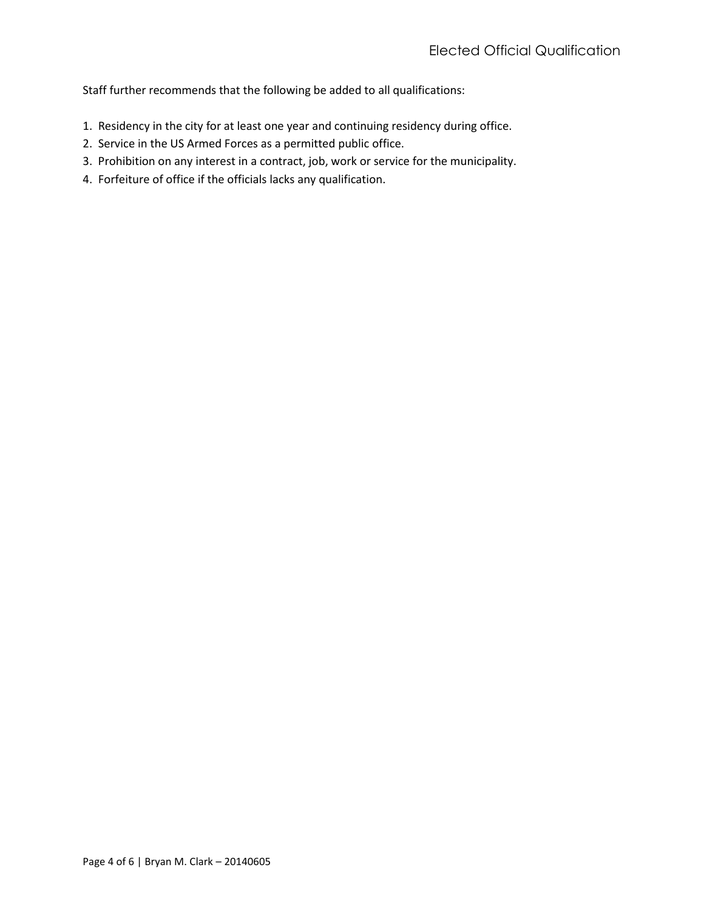Staff further recommends that the following be added to all qualifications:

- 1. Residency in the city for at least one year and continuing residency during office.
- 2. Service in the US Armed Forces as a permitted public office.
- 3. Prohibition on any interest in a contract, job, work or service for the municipality.
- 4. Forfeiture of office if the officials lacks any qualification.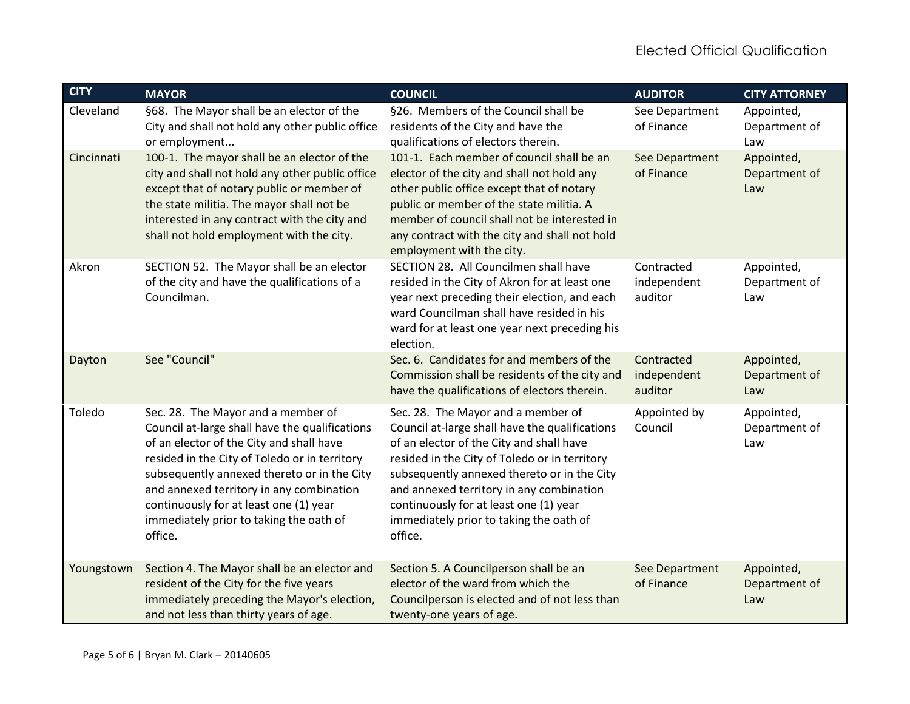| <b>CITY</b> | <b>MAYOR</b>                                                                                                                                                                                                                                                                                                                                                                 | <b>COUNCIL</b>                                                                                                                                                                                                                                                                                                                                                               | <b>AUDITOR</b>                       | <b>CITY ATTORNEY</b>               |
|-------------|------------------------------------------------------------------------------------------------------------------------------------------------------------------------------------------------------------------------------------------------------------------------------------------------------------------------------------------------------------------------------|------------------------------------------------------------------------------------------------------------------------------------------------------------------------------------------------------------------------------------------------------------------------------------------------------------------------------------------------------------------------------|--------------------------------------|------------------------------------|
| Cleveland   | §68. The Mayor shall be an elector of the<br>City and shall not hold any other public office<br>or employment                                                                                                                                                                                                                                                                | §26. Members of the Council shall be<br>residents of the City and have the<br>qualifications of electors therein.                                                                                                                                                                                                                                                            | See Department<br>of Finance         | Appointed,<br>Department of<br>Law |
| Cincinnati  | 100-1. The mayor shall be an elector of the<br>city and shall not hold any other public office<br>except that of notary public or member of<br>the state militia. The mayor shall not be<br>interested in any contract with the city and<br>shall not hold employment with the city.                                                                                         | 101-1. Each member of council shall be an<br>elector of the city and shall not hold any<br>other public office except that of notary<br>public or member of the state militia. A<br>member of council shall not be interested in<br>any contract with the city and shall not hold<br>employment with the city.                                                               | See Department<br>of Finance         | Appointed,<br>Department of<br>Law |
| Akron       | SECTION 52. The Mayor shall be an elector<br>of the city and have the qualifications of a<br>Councilman.                                                                                                                                                                                                                                                                     | SECTION 28. All Councilmen shall have<br>resided in the City of Akron for at least one<br>year next preceding their election, and each<br>ward Councilman shall have resided in his<br>ward for at least one year next preceding his<br>election.                                                                                                                            | Contracted<br>independent<br>auditor | Appointed,<br>Department of<br>Law |
| Dayton      | See "Council"                                                                                                                                                                                                                                                                                                                                                                | Sec. 6. Candidates for and members of the<br>Commission shall be residents of the city and<br>have the qualifications of electors therein.                                                                                                                                                                                                                                   | Contracted<br>independent<br>auditor | Appointed,<br>Department of<br>Law |
| Toledo      | Sec. 28. The Mayor and a member of<br>Council at-large shall have the qualifications<br>of an elector of the City and shall have<br>resided in the City of Toledo or in territory<br>subsequently annexed thereto or in the City<br>and annexed territory in any combination<br>continuously for at least one (1) year<br>immediately prior to taking the oath of<br>office. | Sec. 28. The Mayor and a member of<br>Council at-large shall have the qualifications<br>of an elector of the City and shall have<br>resided in the City of Toledo or in territory<br>subsequently annexed thereto or in the City<br>and annexed territory in any combination<br>continuously for at least one (1) year<br>immediately prior to taking the oath of<br>office. | Appointed by<br>Council              | Appointed,<br>Department of<br>Law |
| Youngstown  | Section 4. The Mayor shall be an elector and<br>resident of the City for the five years<br>immediately preceding the Mayor's election,<br>and not less than thirty years of age.                                                                                                                                                                                             | Section 5. A Councilperson shall be an<br>elector of the ward from which the<br>Councilperson is elected and of not less than<br>twenty-one years of age.                                                                                                                                                                                                                    | See Department<br>of Finance         | Appointed,<br>Department of<br>Law |